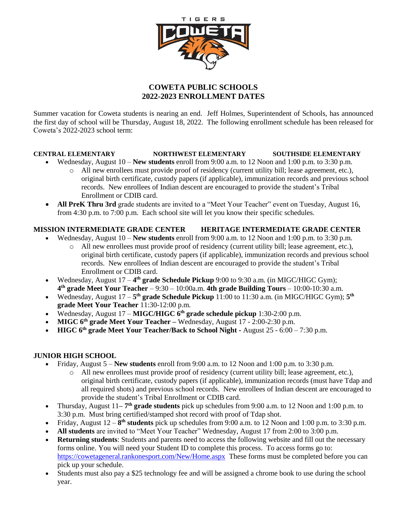

# **COWETA PUBLIC SCHOOLS 2022-2023 ENROLLMENT DATES**

Summer vacation for Coweta students is nearing an end. Jeff Holmes, Superintendent of Schools, has announced the first day of school will be Thursday, August 18, 2022. The following enrollment schedule has been released for Coweta's 2022-2023 school term:

# **CENTRAL ELEMENTARY NORTHWEST ELEMENTARY SOUTHSIDE ELEMENTARY**

- Wednesday, August 10 **New students** enroll from 9:00 a.m. to 12 Noon and 1:00 p.m. to 3:30 p.m.
	- o All new enrollees must provide proof of residency (current utility bill; lease agreement, etc.), original birth certificate, custody papers (if applicable), immunization records and previous school records. New enrollees of Indian descent are encouraged to provide the student's Tribal Enrollment or CDIB card.
- **All PreK Thru 3rd** grade students are invited to a "Meet Your Teacher" event on Tuesday, August 16, from 4:30 p.m. to 7:00 p.m. Each school site will let you know their specific schedules.

# **MISSION INTERMEDIATE GRADE CENTER HERITAGE INTERMEDIATE GRADE CENTER**

- Wednesday, August 10 **New students** enroll from 9:00 a.m. to 12 Noon and 1:00 p.m. to 3:30 p.m.
	- o All new enrollees must provide proof of residency (current utility bill; lease agreement, etc.), original birth certificate, custody papers (if applicable), immunization records and previous school records. New enrollees of Indian descent are encouraged to provide the student's Tribal Enrollment or CDIB card.
- Wednesday, August 17 4<sup>th</sup> grade Schedule Pickup 9:00 to 9:30 a.m. (in MIGC/HIGC Gym); **4 th grade Meet Your Teacher** – 9:30 – 10:00a.m. **4th grade Building Tours** – 10:00-10:30 a.m.
- Wednesday, August 17 5<sup>th</sup> grade Schedule Pickup 11:00 to 11:30 a.m. (in MIGC/HIGC Gym); 5<sup>th</sup> **grade Meet Your Teacher** 11:30-12:00 p.m.
- Wednesday, August 17 **MIGC/HIGC 6 th grade schedule pickup** 1:30-2:00 p.m.
- **MIGC 6<sup>th</sup> grade Meet Your Teacher** Wednesday, August 17 2:00-2:30 p.m.
- **HIGC 6th grade Meet Your Teacher/Back to School Night -** August 25 6:00 7:30 p.m.

# **JUNIOR HIGH SCHOOL**

- Friday, August 5 **New students** enroll from 9:00 a.m. to 12 Noon and 1:00 p.m. to 3:30 p.m.
	- o All new enrollees must provide proof of residency (current utility bill; lease agreement, etc.), original birth certificate, custody papers (if applicable), immunization records (must have Tdap and all required shots) and previous school records. New enrollees of Indian descent are encouraged to provide the student's Tribal Enrollment or CDIB card.
- Thursday, August 11–7<sup>th</sup> grade students pick up schedules from 9:00 a.m. to 12 Noon and 1:00 p.m. to 3:30 p.m. Must bring certified/stamped shot record with proof of Tdap shot.
- Friday, August  $12 8$ <sup>th</sup> **students** pick up schedules from 9:00 a.m. to 12 Noon and 1:00 p.m. to 3:30 p.m.
- **All students** are invited to "Meet Your Teacher" Wednesday, August 17 from 2:00 to 3:00 p.m.
- **Returning students**: Students and parents need to access the following website and fill out the necessary forms online. You will need your Student ID to complete this process. To access forms go to: <https://cowetageneral.rankonesport.com/New/Home.aspx>These forms must be completed before you can pick up your schedule.
- Students must also pay a \$25 technology fee and will be assigned a chrome book to use during the school year.